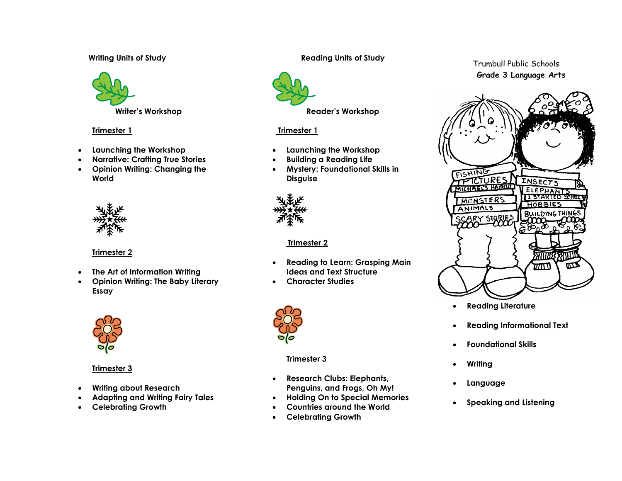## **Writing Units of Study**



## **Trimester 1**

- **Launching the Workshop**
- **Narrative: Crafting True Stories**
- **Opinion Writing: Changing the World**



**Trimester 2**

- **The Art of Information Writing**
- **Opinion Writing: The Baby Literary Essay**



**Trimester 3**

- **Writing about Research**
- **Adapting and Writing Fairy Tales**
- **Celebrating Growth**

## **Reading Units of Study**



# **Trimester 1**

- **Launching the Workshop**
- **Building a Reading Life**
- **Mystery: Foundational Skills in Disguise**



# **Trimester 2**

- **Reading to Learn: Grasping Main Ideas and Text Structure**
- **Character Studies**



# **Trimester 3**

- **Research Clubs: Elephants, Penguins, and Frogs, Oh My!**
- **Holding On to Special Memories**
- **Countries around the World**
- **Celebrating Growth**

# Trumbull Public Schools  **Grade 3 Language Arts**



- **Reading Literature**
- **Reading Informational Text**
- **Foundational Skills**
- **Writing**
- **Language**
- **Speaking and Listening**